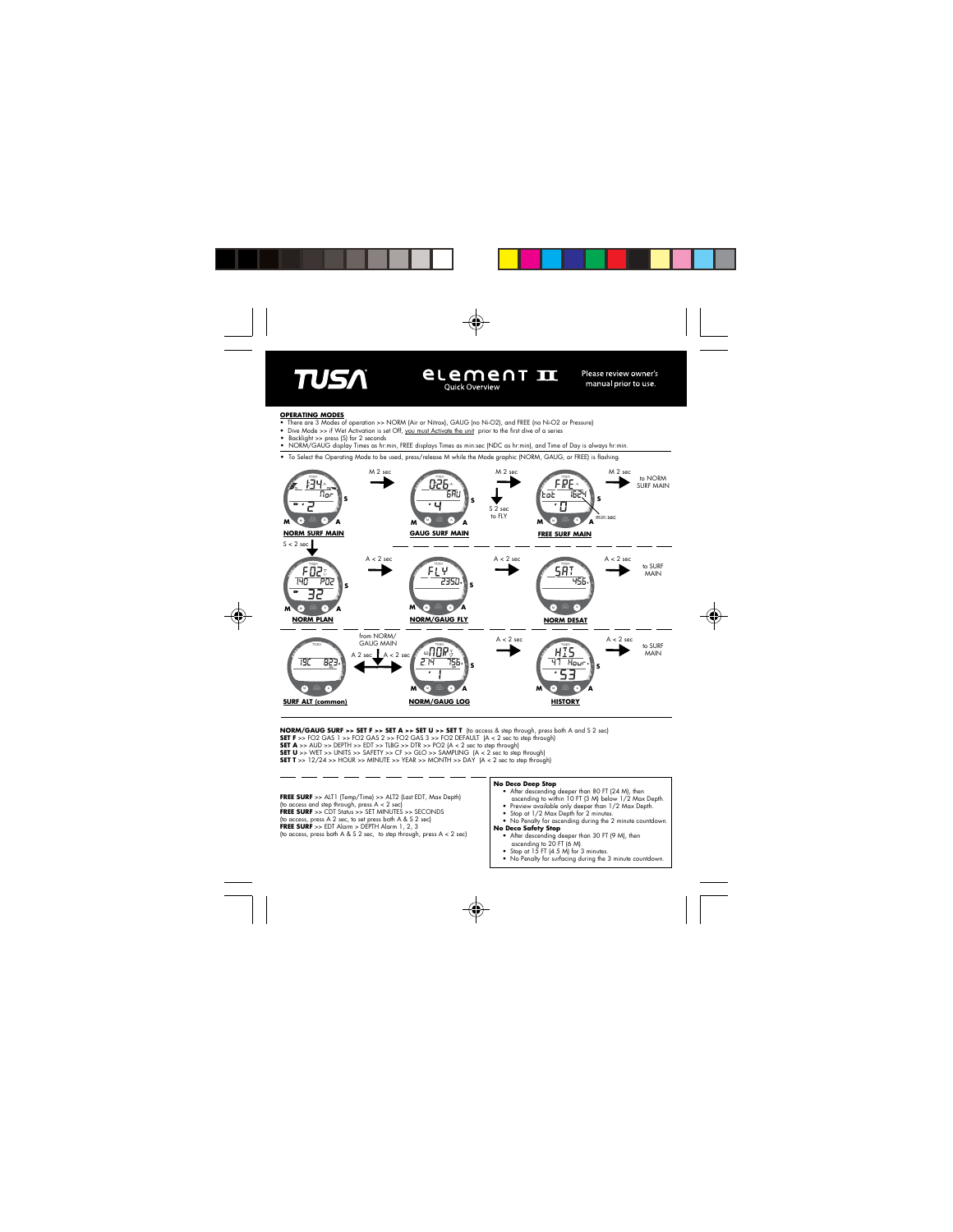

element II **Ouick Overview** 

Please review owner's manual prior to use.

### **OPERATING MODES**

- There are 3 Modes of operation >> NORM (Air or Nitrox), GAUG (no Ni-O2), and FREE (no Ni-O2 or Pressure)
- Dive Mode >> if Wet Activation is set Off, you must Activate the unit prior to the first dive of a series
- Backlight >> press (S) for 2 seconds
- NORM/GAUG display Times as hr:min, FREE displays Times as min:sec (NDC as hr:min), and Time of Day is always hr:min.
- To Select the Operating Mode to be used, press/release M while the Mode graphic (NORM, GAUG, or FREE) is flashing.



**NORM/GAUG SURF >> SET F >> SET A >> SET U >> SET T** (to access & step through, press both A and S 2 sec)

**SET F** >> FO2 GAS 1 >> FO2 GAS 2 >> FO2 GAS 3 >> FO2 DEFAULT (A < 2 sec to step through)

**SET A** >> AUD >> DEPTH >> EDT >> TLBG >> DTR >> PO2 (A < 2 sec to step through)

**SET U** >> WET >> UNITS >> SAFETY >> CF >> GLO >> SAMPLING (A < 2 sec to step through)

**SET T** >> 12/24 >> HOUR >> MINUTE >> YEAR >> MONTH >> DAY (A < 2 sec to step through)

**FREE SURF** >> ALT1 (Temp/Time) >> ALT2 (Last EDT, Max Depth) (to access and step through, press A < 2 sec) **FREE SURF** >> CDT Status >> SET MINUTES >> SECONDS (to access, press A 2 sec, to set press both A & S 2 sec) **FREE SURF** >> EDT Alarm > DEPTH Alarm 1, 2, 3 (to access, press both A & S 2 sec, to step through, press A < 2 sec)

#### **No Deco Deep Stop**

- After descending deeper than 80 FT (24 M), then ascending to within 10 FT (3 M) below 1/2 Max Depth.
- Preview available only deeper than 1/2 Max Depth.
- Stop at 1/2 Max Depth for 2 minutes. • No Penalty for ascending during the 2 minute countdown.
- 

# **No Deco Safety Stop**

- After descending deeper than 30 FT (9 M), then ascending to 20 FT (6 M).
- Stop at 15 FT (4.5 M) for 3 minutes.
- No Penalty for surfacing during the 3 minute countdown.